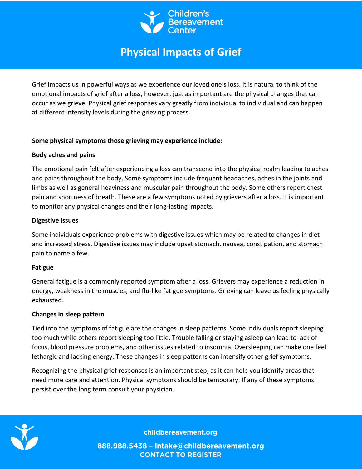

# **[Physical Impacts of Grief](https://childbereavement.org/resources/articles.html/article/2020/04/06/no-hugs-no-funeral-no-goodbyes)**

Grief impacts us in powerful ways as we experience our loved one's loss. It is natural to think of the emotional impacts of grief after a loss, however, just as important are the physical changes that can occur as we grieve. Physical grief responses vary greatly from individual to individual and can happen at different intensity levels during the grieving process.

## **Some physical symptoms those grieving may experience include:**

## **Body aches and pains**

The emotional pain felt after experiencing a loss can transcend into the physical realm leading to aches and pains throughout the body. Some symptoms include frequent headaches, aches in the joints and limbs as well as general heaviness and muscular pain throughout the body. Some others report chest pain and shortness of breath. These are a few symptoms noted by grievers after a loss. It is important to monitor any physical changes and their long-lasting impacts.

## **Digestive issues**

Some individuals experience problems with digestive issues which may be related to changes in diet and increased stress. Digestive issues may include upset stomach, nausea, constipation, and stomach pain to name a few.

# **Fatigue**

General fatigue is a commonly reported symptom after a loss. Grievers may experience a reduction in energy, weakness in the muscles, and flu-like fatigue symptoms. Grieving can leave us feeling physically exhausted.

#### **Changes in sleep pattern**

Tied into the symptoms of fatigue are the changes in sleep patterns. Some individuals report sleeping too much while others report sleeping too little. Trouble falling or staying asleep can lead to lack of focus, blood pressure problems, and other issues related to insomnia. Oversleeping can make one feel lethargic and lacking energy. These changes in sleep patterns can intensify other grief symptoms.

Recognizing the physical grief responses is an important step, as it can help you identify areas that need more care and attention. Physical symptoms should be temporary. If any of these symptoms persist over the long term consult your physician.



childbereavement.org

888.988.5438 - intake@childbereavement.org **CONTACT TO REGISTER**